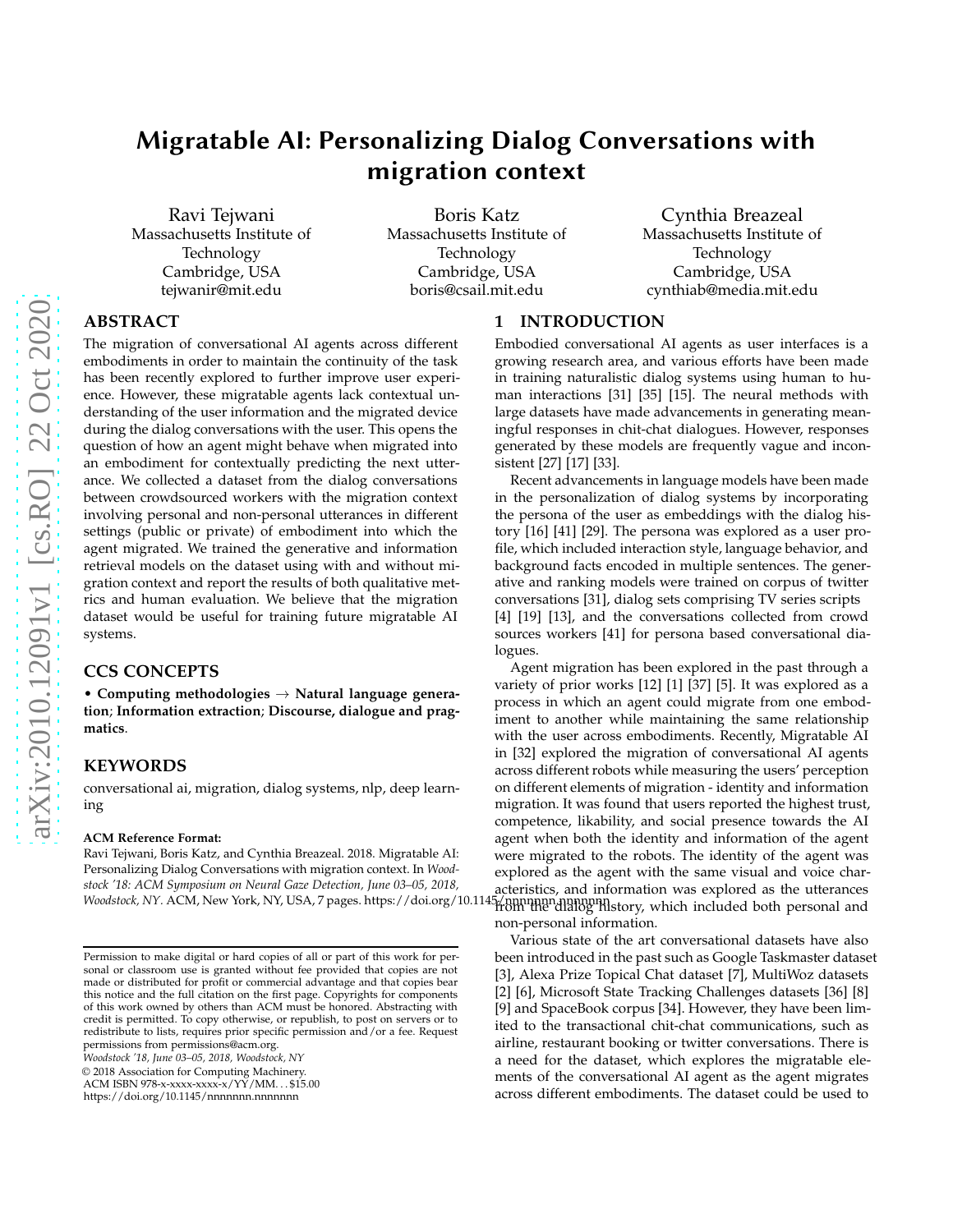# Migratable AI: Personalizing Dialog Conversations with migration context

Ravi Tejwani Massachusetts Institute of Technology Cambridge, USA tejwanir@mit.edu

Boris Katz Massachusetts Institute of Technology Cambridge, USA boris@csail.mit.edu

Cynthia Breazeal Massachusetts Institute of Technology Cambridge, USA cynthiab@media.mit.edu

# **ABSTRACT**

The migration of conversational AI agents across different embodiments in order to maintain the continuity of the task has been recently explored to further improve user experience. However, these migratable agents lack contextual understanding of the user information and the migrated device during the dialog conversations with the user. This opens the question of how an agent might behave when migrated into an embodiment for contextually predicting the next utterance. We collected a dataset from the dialog conversations between crowdsourced workers with the migration context involving personal and non-personal utterances in different settings (public or private) of embodiment into which the agent migrated. We trained the generative and information retrieval models on the dataset using with and without migration context and report the results of both qualitative metrics and human evaluation. We believe that the migration dataset would be useful for training future migratable AI systems.

## **CCS CONCEPTS**

• **Computing methodologies** → **Natural language generation**; **Information extraction**; **Discourse, dialogue and pragmatics**.

# **KEYWORDS**

conversational ai, migration, dialog systems, nlp, deep learning

#### **ACM Reference Format:**

Ravi Tejwani, Boris Katz, and Cynthia Breazeal. 2018. Migratable AI: Personalizing Dialog Conversations with migration context. In *Woodstock '18: ACM Symposium on Neural Gaze Detection, June 03–05, 2018, Woodstock, NY. ACM, New York, NY, USA, [7](#page-6-0) pages. https://doi.org/10.114* 

*Woodstock '18, June 03–05, 2018, Woodstock, NY*

© 2018 Association for Computing Machinery.

ACM ISBN 978-x-xxxx-xxxx-x/YY/MM. . . \$15.00

<https://doi.org/10.1145/nnnnnnn.nnnnnnn>

#### **1 INTRODUCTION**

Embodied conversational AI agents as user interfaces is a growing research area, and various efforts have been made in training naturalistic dialog systems using human to human interactions [\[31\]](#page-6-1) [\[35](#page-6-2)] [\[15\]](#page-6-3). The neural methods with large datasets have made advancements in generating meaningful responses in chit-chat dialogues. However, responses generated by these models are frequently vague and inconsistent [\[27](#page-6-4)] [\[17\]](#page-6-5) [\[33](#page-6-6)].

Recent advancements in language models have been made in the personalization of dialog systems by incorporating the persona of the user as embeddings with the dialog history [\[16](#page-6-7)] [\[41\]](#page-6-8) [\[29\]](#page-6-9). The persona was explored as a user profile, which included interaction style, language behavior, and background facts encoded in multiple sentences. The generative and ranking models were trained on corpus of twitter conversations [\[31\]](#page-6-1), dialog sets comprising TV series scripts [\[4](#page-5-0)] [\[19](#page-6-10)] [\[13](#page-6-11)], and the conversations collected from crowd sources workers [\[41](#page-6-8)] for persona based conversational dialogues.

Agent migration has been explored in the past through a variety of prior works [\[12](#page-6-12)] [\[1\]](#page-5-1) [\[37](#page-6-13)] [\[5\]](#page-5-2). It was explored as a process in which an agent could migrate from one embodiment to another while maintaining the same relationship with the user across embodiments. Recently, Migratable AI in [\[32](#page-6-14)] explored the migration of conversational AI agents across different robots while measuring the users' perception on different elements of migration - identity and information migration. It was found that users reported the highest trust, competence, likability, and social presence towards the AI agent when both the identity and information of the agent were migrated to the robots. The identity of the agent was explored as the agent with the same visual and voice characteristics, and information was explored as the utterances 5/nnnnnn nnnnnnn<br>from the dialog history, which included both personal and non-personal information.

Various state of the art conversational datasets have also been introduced in the past such as Google Taskmaster dataset [\[3](#page-5-3)], Alexa Prize Topical Chat dataset [\[7](#page-6-15)], MultiWoz datasets [\[2](#page-5-4)] [\[6\]](#page-5-5), Microsoft State Tracking Challenges datasets [\[36\]](#page-6-16) [\[8](#page-6-17)] [\[9](#page-6-18)] and SpaceBook corpus [\[34](#page-6-19)]. However, they have been limited to the transactional chit-chat communications, such as airline, restaurant booking or twitter conversations. There is a need for the dataset, which explores the migratable elements of the conversational AI agent as the agent migrates across different embodiments. The dataset could be used to

Permission to make digital or hard copies of all or part of this work for personal or classroom use is granted without fee provided that copies are not made or distributed for profit or commercial advantage and that copies bear this notice and the full citation on the first page. Copyrights for components of this work owned by others than ACM must be honored. Abstracting with credit is permitted. To copy otherwise, or republish, to post on servers or to redistribute to lists, requires prior specific permission and/or a fee. Request permissions from permissions@acm.org.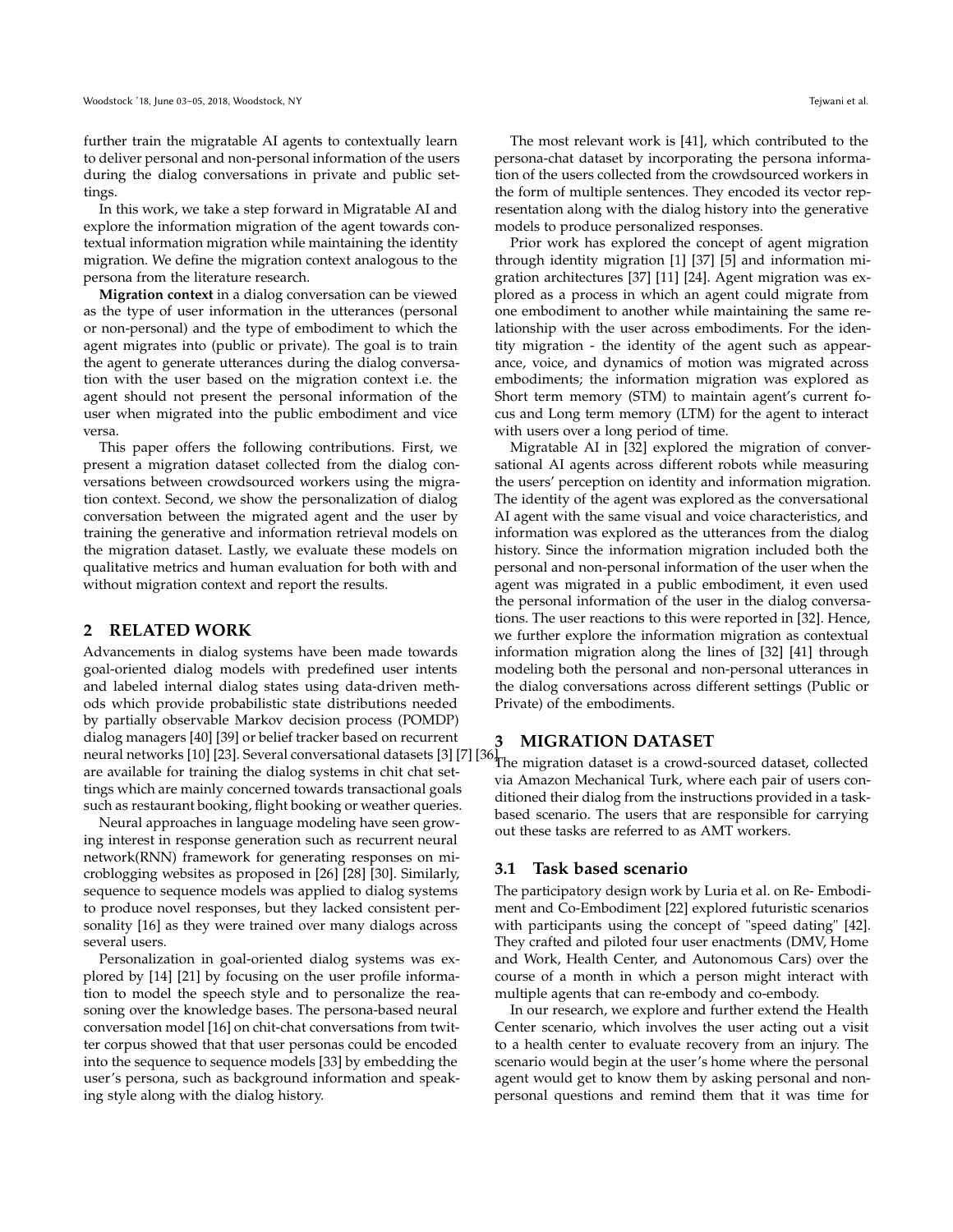further train the migratable AI agents to contextually learn to deliver personal and non-personal information of the users during the dialog conversations in private and public settings.

In this work, we take a step forward in Migratable AI and explore the information migration of the agent towards contextual information migration while maintaining the identity migration. We define the migration context analogous to the persona from the literature research.

**Migration context** in a dialog conversation can be viewed as the type of user information in the utterances (personal or non-personal) and the type of embodiment to which the agent migrates into (public or private). The goal is to train the agent to generate utterances during the dialog conversation with the user based on the migration context i.e. the agent should not present the personal information of the user when migrated into the public embodiment and vice versa.

This paper offers the following contributions. First, we present a migration dataset collected from the dialog conversations between crowdsourced workers using the migration context. Second, we show the personalization of dialog conversation between the migrated agent and the user by training the generative and information retrieval models on the migration dataset. Lastly, we evaluate these models on qualitative metrics and human evaluation for both with and without migration context and report the results.

#### **2 RELATED WORK**

Advancements in dialog systems have been made towards goal-oriented dialog models with predefined user intents and labeled internal dialog states using data-driven methods which provide probabilistic state distributions needed by partially observable Markov decision process (POMDP) dialog managers [\[40\]](#page-6-20) [\[39\]](#page-6-21) or belief tracker based on recurrent dialog managers [40] [\[3](#page-5-3)9] or belief tracker based on recurrent **3 MIGRATION DATASET**<br>neural networks [\[10](#page-6-22)] [\[23\]](#page-6-23). Several conversational datasets [3] [\[7\]](#page-6-15) [\[36](#page-6-16)]<sub>The migration</sub> dataset is a croud o are available for training the dialog systems in chit chat settings which are mainly concerned towards transactional goals such as restaurant booking, flight booking or weather queries.

Neural approaches in language modeling have seen growing interest in response generation such as recurrent neural network(RNN) framework for generating responses on microblogging websites as proposed in [\[26](#page-6-24)] [\[28](#page-6-25)] [\[30\]](#page-6-26). Similarly, sequence to sequence models was applied to dialog systems to produce novel responses, but they lacked consistent personality [\[16](#page-6-7)] as they were trained over many dialogs across several users.

Personalization in goal-oriented dialog systems was explored by [\[14\]](#page-6-27) [\[21\]](#page-6-28) by focusing on the user profile information to model the speech style and to personalize the reasoning over the knowledge bases. The persona-based neural conversation model [\[16](#page-6-7)] on chit-chat conversations from twitter corpus showed that that user personas could be encoded into the sequence to sequence models [\[33\]](#page-6-6) by embedding the user's persona, such as background information and speaking style along with the dialog history.

The most relevant work is [\[41](#page-6-8)], which contributed to the persona-chat dataset by incorporating the persona information of the users collected from the crowdsourced workers in the form of multiple sentences. They encoded its vector representation along with the dialog history into the generative models to produce personalized responses.

Prior work has explored the concept of agent migration through identity migration [\[1\]](#page-5-1) [\[37](#page-6-13)] [\[5](#page-5-2)] and information migration architectures [\[37](#page-6-13)] [\[11](#page-6-29)] [\[24](#page-6-30)]. Agent migration was explored as a process in which an agent could migrate from one embodiment to another while maintaining the same relationship with the user across embodiments. For the identity migration - the identity of the agent such as appearance, voice, and dynamics of motion was migrated across embodiments; the information migration was explored as Short term memory (STM) to maintain agent's current focus and Long term memory (LTM) for the agent to interact with users over a long period of time.

Migratable AI in [\[32\]](#page-6-14) explored the migration of conversational AI agents across different robots while measuring the users' perception on identity and information migration. The identity of the agent was explored as the conversational AI agent with the same visual and voice characteristics, and information was explored as the utterances from the dialog history. Since the information migration included both the personal and non-personal information of the user when the agent was migrated in a public embodiment, it even used the personal information of the user in the dialog conversations. The user reactions to this were reported in [\[32](#page-6-14)]. Hence, we further explore the information migration as contextual information migration along the lines of [\[32](#page-6-14)] [\[41](#page-6-8)] through modeling both the personal and non-personal utterances in the dialog conversations across different settings (Public or Private) of the embodiments.

The migration dataset is a crowd-sourced dataset, collected via Amazon Mechanical Turk, where each pair of users conditioned their dialog from the instructions provided in a taskbased scenario. The users that are responsible for carrying out these tasks are referred to as AMT workers.

#### **3.1 Task based scenario**

The participatory design work by Luria et al. on Re- Embodiment and Co-Embodiment [\[22](#page-6-31)] explored futuristic scenarios with participants using the concept of "speed dating" [\[42\]](#page-6-32). They crafted and piloted four user enactments (DMV, Home and Work, Health Center, and Autonomous Cars) over the course of a month in which a person might interact with multiple agents that can re-embody and co-embody.

In our research, we explore and further extend the Health Center scenario, which involves the user acting out a visit to a health center to evaluate recovery from an injury. The scenario would begin at the user's home where the personal agent would get to know them by asking personal and nonpersonal questions and remind them that it was time for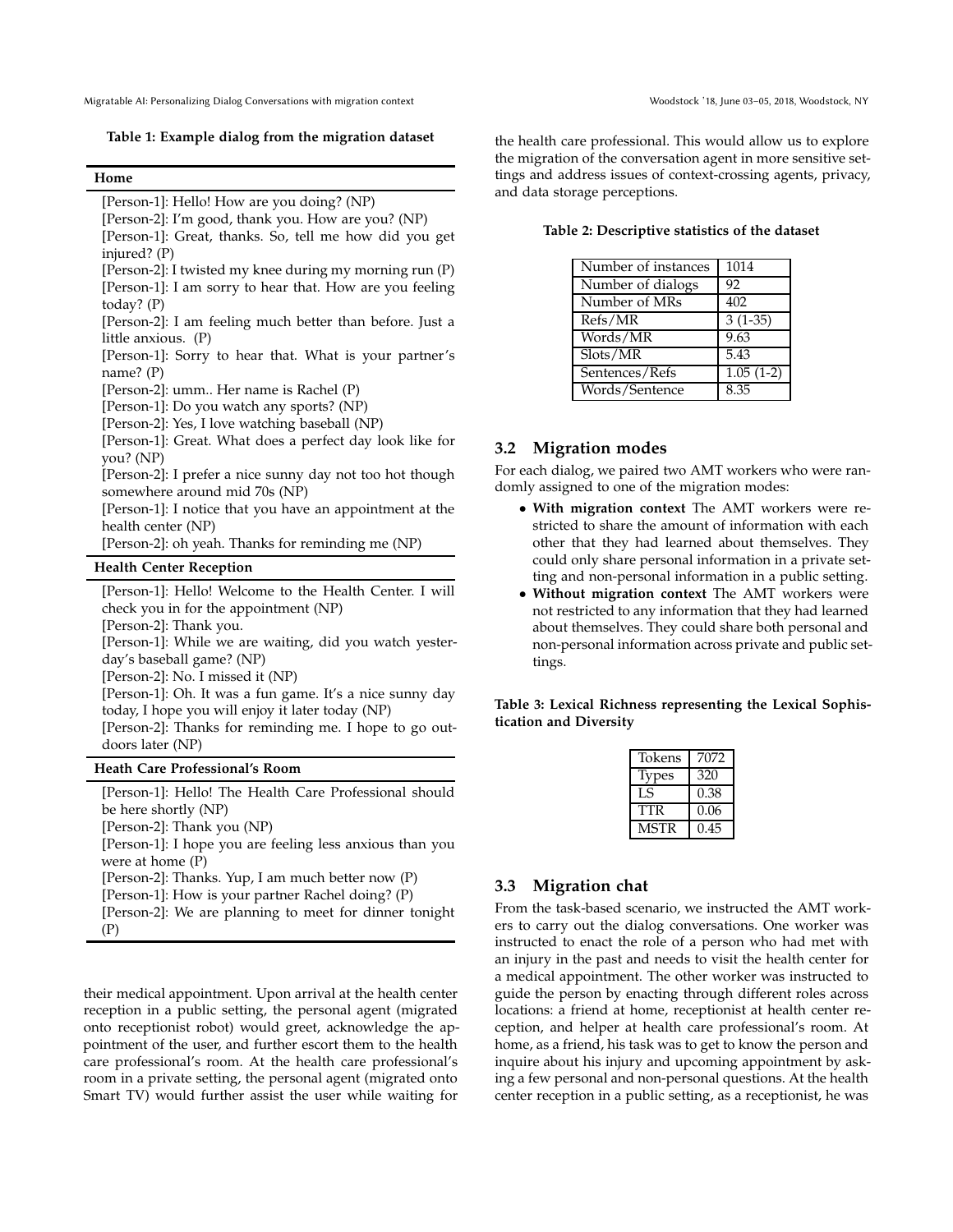<span id="page-2-0"></span>Migratable AI: Personalizing Dialog Conversations with migration context Woodstock '18, June 03-05, 2018, Woodstock, NY

**Table 1: Example dialog from the migration dataset**

#### **Home**

[Person-1]: Hello! How are you doing? (NP)

[Person-2]: I'm good, thank you. How are you? (NP)

[Person-1]: Great, thanks. So, tell me how did you get injured? (P)

[Person-2]: I twisted my knee during my morning run (P) [Person-1]: I am sorry to hear that. How are you feeling today? (P)

[Person-2]: I am feeling much better than before. Just a little anxious. (P)

[Person-1]: Sorry to hear that. What is your partner's name? (P)

[Person-2]: umm.. Her name is Rachel (P)

[Person-1]: Do you watch any sports? (NP)

[Person-2]: Yes, I love watching baseball (NP)

[Person-1]: Great. What does a perfect day look like for you? (NP)

[Person-2]: I prefer a nice sunny day not too hot though somewhere around mid 70s (NP)

[Person-1]: I notice that you have an appointment at the health center (NP)

[Person-2]: oh yeah. Thanks for reminding me (NP)

#### **Health Center Reception**

[Person-1]: Hello! Welcome to the Health Center. I will check you in for the appointment (NP) [Person-2]: Thank you.

[Person-1]: While we are waiting, did you watch yesterday's baseball game? (NP)

[Person-2]: No. I missed it (NP)

[Person-1]: Oh. It was a fun game. It's a nice sunny day today, I hope you will enjoy it later today (NP)

[Person-2]: Thanks for reminding me. I hope to go outdoors later (NP)

#### **Heath Care Professional's Room**

[Person-1]: Hello! The Health Care Professional should be here shortly (NP) [Person-2]: Thank you (NP) [Person-1]: I hope you are feeling less anxious than you were at home (P) [Person-2]: Thanks. Yup, I am much better now (P) [Person-1]: How is your partner Rachel doing? (P) [Person-2]: We are planning to meet for dinner tonight (P)

their medical appointment. Upon arrival at the health center reception in a public setting, the personal agent (migrated onto receptionist robot) would greet, acknowledge the appointment of the user, and further escort them to the health care professional's room. At the health care professional's room in a private setting, the personal agent (migrated onto Smart TV) would further assist the user while waiting for

the health care professional. This would allow us to explore the migration of the conversation agent in more sensitive settings and address issues of context-crossing agents, privacy, and data storage perceptions.

<span id="page-2-1"></span>

| Table 2: Descriptive statistics of the dataset |  |  |  |
|------------------------------------------------|--|--|--|
|------------------------------------------------|--|--|--|

| Number of instances                         | 1014        |
|---------------------------------------------|-------------|
| Number of dialogs                           | 92          |
| Number of MRs                               | 402         |
| Refs/MR                                     | $3(1-35)$   |
| Words/MR                                    | 9.63        |
| $\overline{\text{S} \text{lots}}/\text{MR}$ | 5.43        |
| Sentences/Refs                              | $1.05(1-2)$ |
| Words/Sentence                              | 8.35        |

#### **3.2 Migration modes**

For each dialog, we paired two AMT workers who were randomly assigned to one of the migration modes:

- **With migration context** The AMT workers were restricted to share the amount of information with each other that they had learned about themselves. They could only share personal information in a private setting and non-personal information in a public setting.
- **Without migration context** The AMT workers were not restricted to any information that they had learned about themselves. They could share both personal and non-personal information across private and public settings.

<span id="page-2-2"></span>**Table 3: Lexical Richness representing the Lexical Sophistication and Diversity**

| 7072 |
|------|
| 320  |
| 0.38 |
| 0.06 |
| 0.45 |
|      |

#### <span id="page-2-3"></span>**3.3 Migration chat**

From the task-based scenario, we instructed the AMT workers to carry out the dialog conversations. One worker was instructed to enact the role of a person who had met with an injury in the past and needs to visit the health center for a medical appointment. The other worker was instructed to guide the person by enacting through different roles across locations: a friend at home, receptionist at health center reception, and helper at health care professional's room. At home, as a friend, his task was to get to know the person and inquire about his injury and upcoming appointment by asking a few personal and non-personal questions. At the health center reception in a public setting, as a receptionist, he was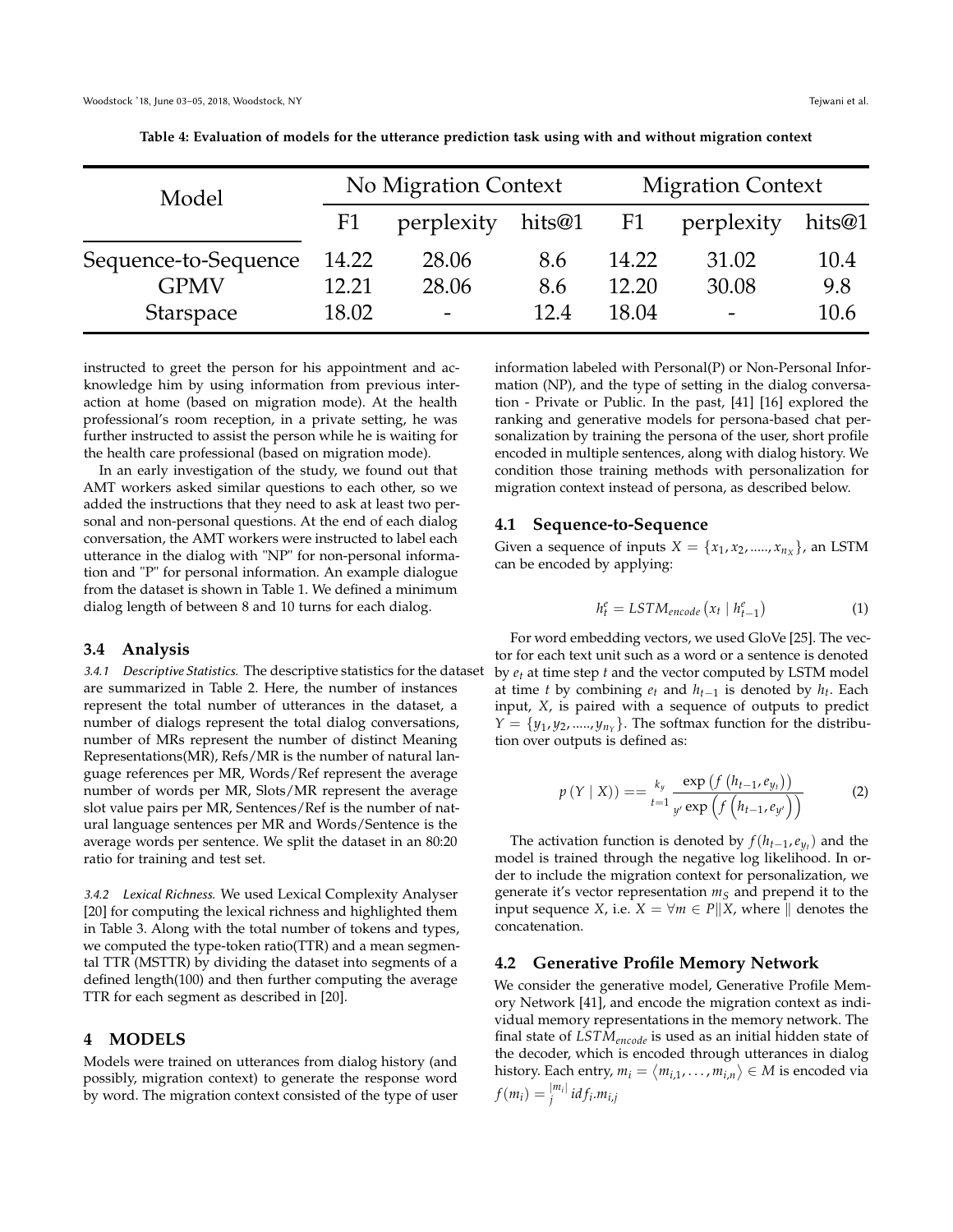<span id="page-3-0"></span>

| Model                |       | No Migration Context     |        | <b>Migration Context</b> |                          |        |
|----------------------|-------|--------------------------|--------|--------------------------|--------------------------|--------|
|                      | F1    | perplexity               | hits@1 | F <sub>1</sub>           | perplexity               | hits@1 |
| Sequence-to-Sequence | 14.22 | 28.06                    | 8.6    | 14.22                    | 31.02                    | 10.4   |
| <b>GPMV</b>          | 12.21 | 28.06                    | 8.6    | 12.20                    | 30.08                    | 9.8    |
| <b>Starspace</b>     | 18.02 | $\overline{\phantom{a}}$ | 12.4   | 18.04                    | $\overline{\phantom{0}}$ | 10.6   |

**Table 4: Evaluation of models for the utterance prediction task using with and without migration context**

instructed to greet the person for his appointment and acknowledge him by using information from previous interaction at home (based on migration mode). At the health professional's room reception, in a private setting, he was further instructed to assist the person while he is waiting for the health care professional (based on migration mode).

In an early investigation of the study, we found out that AMT workers asked similar questions to each other, so we added the instructions that they need to ask at least two personal and non-personal questions. At the end of each dialog conversation, the AMT workers were instructed to label each utterance in the dialog with "NP" for non-personal information and "P" for personal information. An example dialogue from the dataset is shown in Table [1.](#page-2-0) We defined a minimum dialog length of between 8 and 10 turns for each dialog.

#### **3.4 Analysis**

3.4.1 Descriptive Statistics. The descriptive statistics for the dataset are summarized in Table [2.](#page-2-1) Here, the number of instances represent the total number of utterances in the dataset, a number of dialogs represent the total dialog conversations, number of MRs represent the number of distinct Meaning Representations(MR), Refs/MR is the number of natural language references per MR, Words/Ref represent the average number of words per MR, Slots/MR represent the average slot value pairs per MR, Sentences/Ref is the number of natural language sentences per MR and Words/Sentence is the average words per sentence. We split the dataset in an 80:20 ratio for training and test set.

3.4.2 Lexical Richness. We used Lexical Complexity Analyser [\[20\]](#page-6-33) for computing the lexical richness and highlighted them in Table [3.](#page-2-2) Along with the total number of tokens and types, we computed the type-token ratio(TTR) and a mean segmental TTR (MSTTR) by dividing the dataset into segments of a defined length(100) and then further computing the average TTR for each segment as described in [\[20](#page-6-33)].

#### **4 MODELS**

Models were trained on utterances from dialog history (and possibly, migration context) to generate the response word by word. The migration context consisted of the type of user information labeled with Personal(P) or Non-Personal Information (NP), and the type of setting in the dialog conversation - Private or Public. In the past, [\[41\]](#page-6-8) [\[16](#page-6-7)] explored the ranking and generative models for persona-based chat personalization by training the persona of the user, short profile encoded in multiple sentences, along with dialog history. We condition those training methods with personalization for migration context instead of persona, as described below.

#### **4.1 Sequence-to-Sequence**

Given a sequence of inputs  $X = \{x_1, x_2, \dots, x_{n_X}\}$ , an LSTM can be encoded by applying:

$$
h_t^e = LSTM_{encode}\left(x_t \mid h_{t-1}^e\right) \tag{1}
$$

For word embedding vectors, we used GloVe [\[25](#page-6-34)]. The vector for each text unit such as a word or a sentence is denoted by *et* at time step *t* and the vector computed by LSTM model at time *t* by combining  $e_t$  and  $h_{t-1}$  is denoted by  $h_t$ . Each input, *X*, is paired with a sequence of outputs to predict  $Y = \{y_1, y_2, \dots, y_{n_Y}\}$ . The softmax function for the distribution over outputs is defined as:

$$
p(Y | X)) = = \frac{k_y}{t=1} \frac{\exp (f (h_{t-1}, e_{y_t}))}{y' \exp (f (h_{t-1}, e_{y'}))}
$$
(2)

The activation function is denoted by  $f(h_{t-1}, e_{y_t})$  and the model is trained through the negative log likelihood. In order to include the migration context for personalization, we generate it's vector representation *m<sup>S</sup>* and prepend it to the input sequence *X*, i.e.  $X = \forall m \in P||X$ , where  $\parallel$  denotes the concatenation.

#### **4.2 Generative Profile Memory Network**

We consider the generative model, Generative Profile Memory Network [\[41](#page-6-8)], and encode the migration context as individual memory representations in the memory network. The final state of *LSTMencode* is used as an initial hidden state of the decoder, which is encoded through utterances in dialog history. Each entry,  $m_i = \langle m_{i,1}, \ldots, m_{i,n} \rangle \in M$  is encoded via  $f(m_i) = \frac{|m_i|}{i}$ *j id f<sup>i</sup>* .*mi*,*j*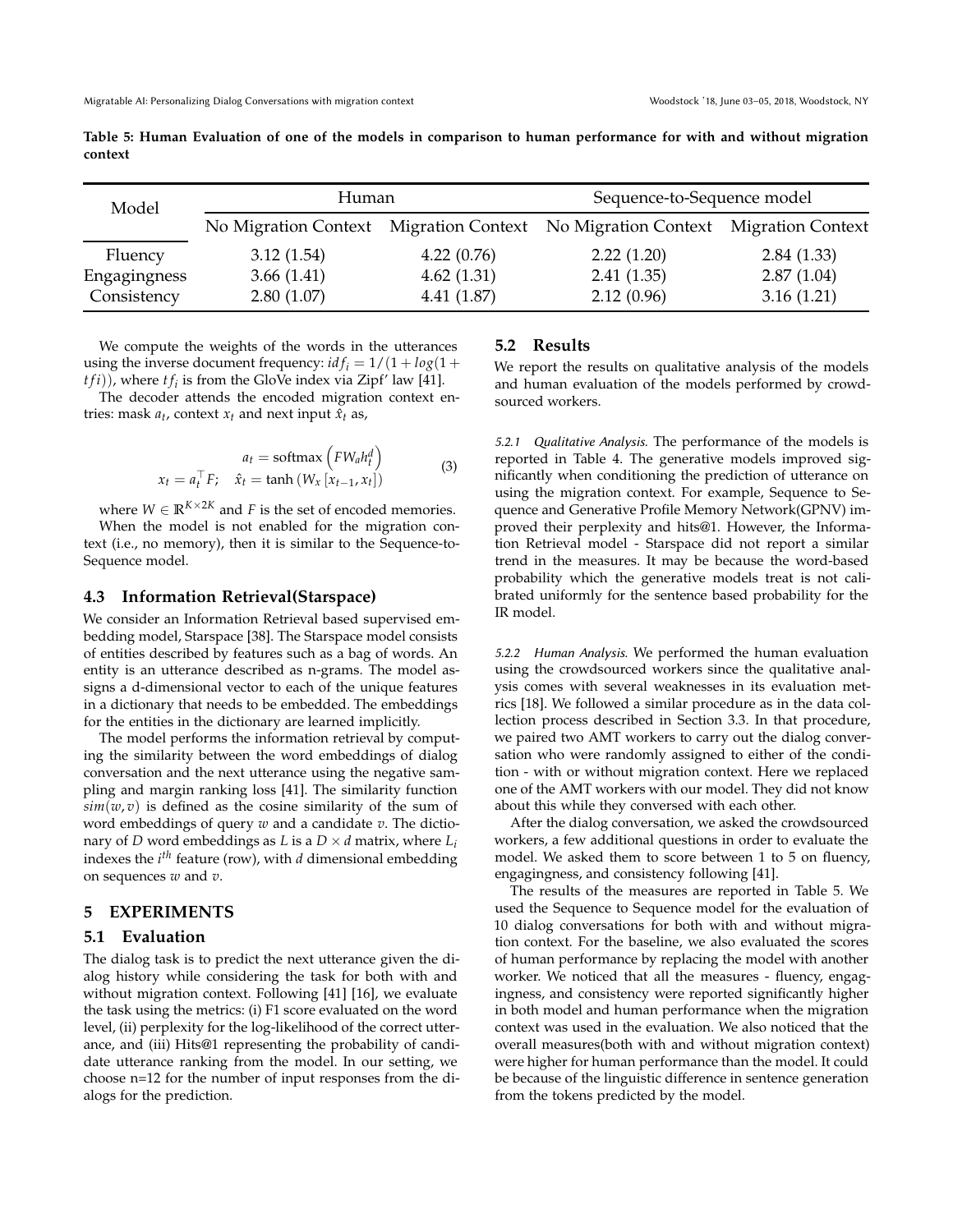<span id="page-4-0"></span>

| Table 5: Human Evaluation of one of the models in comparison to human performance for with and without migration |  |  |  |  |  |  |
|------------------------------------------------------------------------------------------------------------------|--|--|--|--|--|--|
| context                                                                                                          |  |  |  |  |  |  |

| Model        | Human      |            | Sequence-to-Sequence model                                                    |            |  |
|--------------|------------|------------|-------------------------------------------------------------------------------|------------|--|
|              |            |            | No Migration Context Migration Context No Migration Context Migration Context |            |  |
| Fluency      | 3.12(1.54) | 4.22(0.76) | 2.22(1.20)                                                                    | 2.84(1.33) |  |
| Engagingness | 3.66(1.41) | 4.62(1.31) | 2.41(1.35)                                                                    | 2.87(1.04) |  |
| Consistency  | 2.80(1.07) | 4.41(1.87) | 2.12(0.96)                                                                    | 3.16(1.21) |  |

We compute the weights of the words in the utterances using the inverse document frequency:  $i df_i = 1/(1 + log(1 + log(1 + log(1)))$  $(tfi)$ ), where  $tf_i$  is from the GloVe index via Zipf' law [\[41\]](#page-6-8).

The decoder attends the encoded migration context entries: mask  $a_t$ , context  $x_t$  and next input  $\hat{x}_t$  as,

$$
a_t = \text{softmax}\left(FW_a h_t^d\right)
$$
  

$$
x_t = a_t^\top F; \quad \hat{x}_t = \tanh\left(W_x\left[x_{t-1}, x_t\right]\right)
$$
 (3)

where  $W \in \mathbb{R}^{K \times 2K}$  and *F* is the set of encoded memories. When the model is not enabled for the migration context (i.e., no memory), then it is similar to the Sequence-to-Sequence model.

#### **4.3 Information Retrieval(Starspace)**

We consider an Information Retrieval based supervised embedding model, Starspace [\[38\]](#page-6-35). The Starspace model consists of entities described by features such as a bag of words. An entity is an utterance described as n-grams. The model assigns a d-dimensional vector to each of the unique features in a dictionary that needs to be embedded. The embeddings for the entities in the dictionary are learned implicitly.

The model performs the information retrieval by computing the similarity between the word embeddings of dialog conversation and the next utterance using the negative sampling and margin ranking loss [\[41\]](#page-6-8). The similarity function  $\sin(w, v)$  is defined as the cosine similarity of the sum of word embeddings of query *w* and a candidate *v*. The dictionary of *D* word embeddings as *L* is a  $D \times d$  matrix, where  $L_i$ indexes the *i th* feature (row), with *d* dimensional embedding on sequences *w* and *v*.

### **5 EXPERIMENTS**

#### **5.1 Evaluation**

The dialog task is to predict the next utterance given the dialog history while considering the task for both with and without migration context. Following [\[41\]](#page-6-8) [\[16\]](#page-6-7), we evaluate the task using the metrics: (i) F1 score evaluated on the word level, (ii) perplexity for the log-likelihood of the correct utterance, and (iii) Hits@1 representing the probability of candidate utterance ranking from the model. In our setting, we choose n=12 for the number of input responses from the dialogs for the prediction.

#### **5.2 Results**

We report the results on qualitative analysis of the models and human evaluation of the models performed by crowdsourced workers.

5.2.1 Qualitative Analysis. The performance of the models is reported in Table [4.](#page-3-0) The generative models improved significantly when conditioning the prediction of utterance on using the migration context. For example, Sequence to Sequence and Generative Profile Memory Network(GPNV) improved their perplexity and hits@1. However, the Information Retrieval model - Starspace did not report a similar trend in the measures. It may be because the word-based probability which the generative models treat is not calibrated uniformly for the sentence based probability for the IR model.

5.2.2 Human Analysis. We performed the human evaluation using the crowdsourced workers since the qualitative analysis comes with several weaknesses in its evaluation metrics [\[18\]](#page-6-36). We followed a similar procedure as in the data collection process described in Section [3.3.](#page-2-3) In that procedure, we paired two AMT workers to carry out the dialog conversation who were randomly assigned to either of the condition - with or without migration context. Here we replaced one of the AMT workers with our model. They did not know about this while they conversed with each other.

After the dialog conversation, we asked the crowdsourced workers, a few additional questions in order to evaluate the model. We asked them to score between 1 to 5 on fluency, engagingness, and consistency following [\[41](#page-6-8)].

The results of the measures are reported in Table [5.](#page-4-0) We used the Sequence to Sequence model for the evaluation of 10 dialog conversations for both with and without migration context. For the baseline, we also evaluated the scores of human performance by replacing the model with another worker. We noticed that all the measures - fluency, engagingness, and consistency were reported significantly higher in both model and human performance when the migration context was used in the evaluation. We also noticed that the overall measures(both with and without migration context) were higher for human performance than the model. It could be because of the linguistic difference in sentence generation from the tokens predicted by the model.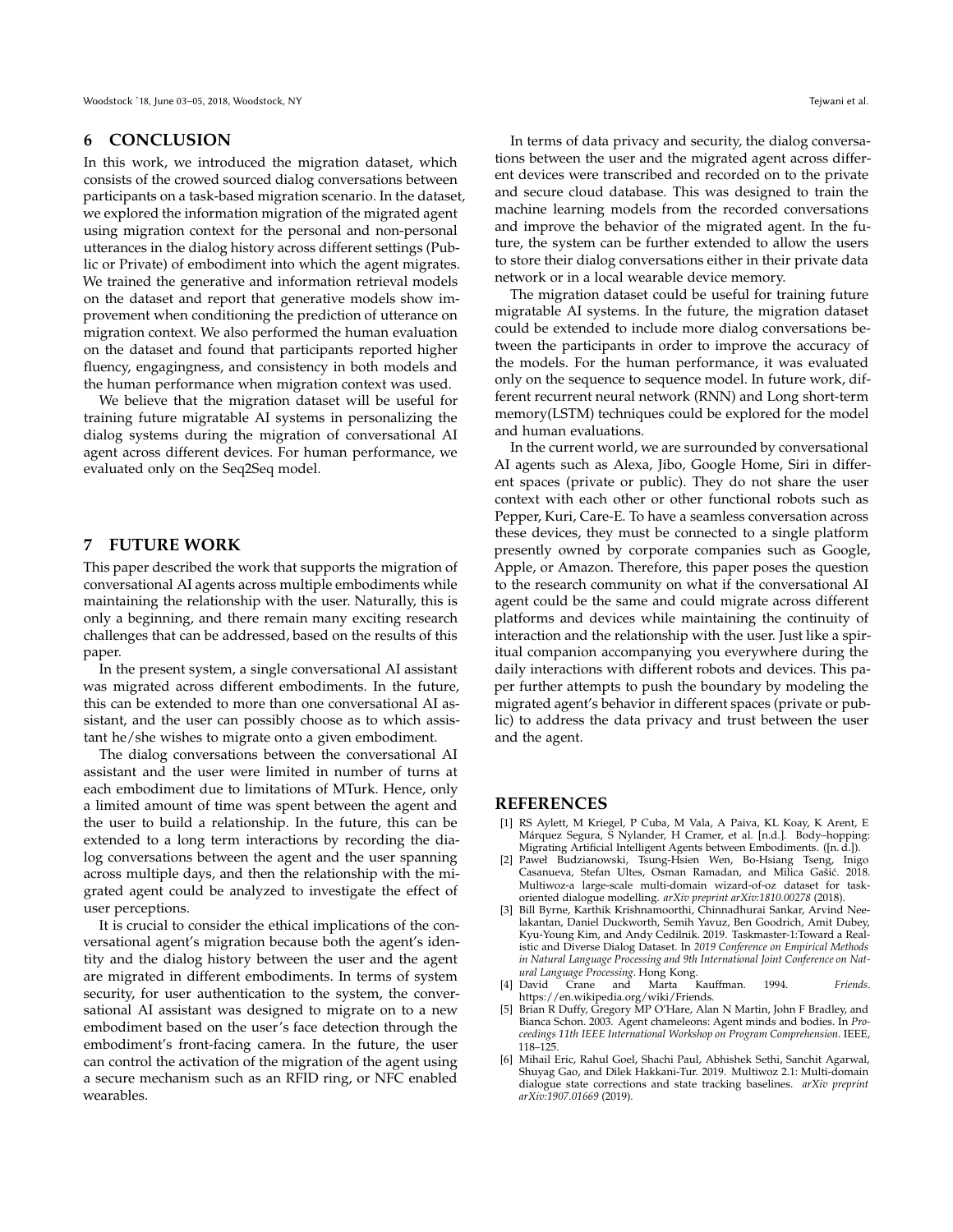#### **6 CONCLUSION**

In this work, we introduced the migration dataset, which consists of the crowed sourced dialog conversations between participants on a task-based migration scenario. In the dataset, we explored the information migration of the migrated agent using migration context for the personal and non-personal utterances in the dialog history across different settings (Public or Private) of embodiment into which the agent migrates. We trained the generative and information retrieval models on the dataset and report that generative models show improvement when conditioning the prediction of utterance on migration context. We also performed the human evaluation on the dataset and found that participants reported higher fluency, engagingness, and consistency in both models and the human performance when migration context was used.

We believe that the migration dataset will be useful for training future migratable AI systems in personalizing the dialog systems during the migration of conversational AI agent across different devices. For human performance, we evaluated only on the Seq2Seq model.

#### **7 FUTURE WORK**

This paper described the work that supports the migration of conversational AI agents across multiple embodiments while maintaining the relationship with the user. Naturally, this is only a beginning, and there remain many exciting research challenges that can be addressed, based on the results of this paper.

In the present system, a single conversational AI assistant was migrated across different embodiments. In the future, this can be extended to more than one conversational AI assistant, and the user can possibly choose as to which assistant he/she wishes to migrate onto a given embodiment.

The dialog conversations between the conversational AI assistant and the user were limited in number of turns at each embodiment due to limitations of MTurk. Hence, only a limited amount of time was spent between the agent and the user to build a relationship. In the future, this can be extended to a long term interactions by recording the dialog conversations between the agent and the user spanning across multiple days, and then the relationship with the migrated agent could be analyzed to investigate the effect of user perceptions.

It is crucial to consider the ethical implications of the conversational agent's migration because both the agent's identity and the dialog history between the user and the agent are migrated in different embodiments. In terms of system security, for user authentication to the system, the conversational AI assistant was designed to migrate on to a new embodiment based on the user's face detection through the embodiment's front-facing camera. In the future, the user can control the activation of the migration of the agent using a secure mechanism such as an RFID ring, or NFC enabled wearables.

In terms of data privacy and security, the dialog conversations between the user and the migrated agent across different devices were transcribed and recorded on to the private and secure cloud database. This was designed to train the machine learning models from the recorded conversations and improve the behavior of the migrated agent. In the future, the system can be further extended to allow the users to store their dialog conversations either in their private data network or in a local wearable device memory.

The migration dataset could be useful for training future migratable AI systems. In the future, the migration dataset could be extended to include more dialog conversations between the participants in order to improve the accuracy of the models. For the human performance, it was evaluated only on the sequence to sequence model. In future work, different recurrent neural network (RNN) and Long short-term memory(LSTM) techniques could be explored for the model and human evaluations.

In the current world, we are surrounded by conversational AI agents such as Alexa, Jibo, Google Home, Siri in different spaces (private or public). They do not share the user context with each other or other functional robots such as Pepper, Kuri, Care-E. To have a seamless conversation across these devices, they must be connected to a single platform presently owned by corporate companies such as Google, Apple, or Amazon. Therefore, this paper poses the question to the research community on what if the conversational AI agent could be the same and could migrate across different platforms and devices while maintaining the continuity of interaction and the relationship with the user. Just like a spiritual companion accompanying you everywhere during the daily interactions with different robots and devices. This paper further attempts to push the boundary by modeling the migrated agent's behavior in different spaces (private or public) to address the data privacy and trust between the user and the agent.

#### **REFERENCES**

- <span id="page-5-1"></span>[1] RS Aylett, M Kriegel, P Cuba, M Vala, A Paiva, KL Koay, K Arent, E Márquez Segura, S Nylander, H Cramer, et al. [n.d.]. Body–hopping: Migrating Artificial Intelligent Agents between Embodiments. ([n. d.]).
- <span id="page-5-4"></span>[2] Paweł Budzianowski, Tsung-Hsien Wen, Bo-Hsiang Tseng, Inigo Casanueva, Stefan Ultes, Osman Ramadan, and Milica Gašić. 2018. Multiwoz-a large-scale multi-domain wizard-of-oz dataset for taskoriented dialogue modelling. *arXiv preprint arXiv:1810.00278* (2018).
- <span id="page-5-3"></span>[3] Bill Byrne, Karthik Krishnamoorthi, Chinnadhurai Sankar, Arvind Neelakantan, Daniel Duckworth, Semih Yavuz, Ben Goodrich, Amit Dubey, Kyu-Young Kim, and Andy Cedilnik. 2019. Taskmaster-1:Toward a Realistic and Diverse Dialog Dataset. In *2019 Conference on Empirical Methods in Natural Language Processing and 9th International Joint Conference on Natural Language Processing*. Hong Kong.
- <span id="page-5-0"></span>[4] David Crane and Marta Kauffman. 1994. *Friends*. [https://en.wikipedia.org/wiki/Friends.](https://en.wikipedia.org/wiki/Friends)
- <span id="page-5-2"></span>[5] Brian R Duffy, Gregory MP O'Hare, Alan N Martin, John F Bradley, and Bianca Schon. 2003. Agent chameleons: Agent minds and bodies. In *Proceedings 11th IEEE International Workshop on Program Comprehension*. IEEE, 118–125.
- <span id="page-5-5"></span>[6] Mihail Eric, Rahul Goel, Shachi Paul, Abhishek Sethi, Sanchit Agarwal, Shuyag Gao, and Dilek Hakkani-Tur. 2019. Multiwoz 2.1: Multi-domain dialogue state corrections and state tracking baselines. *arXiv preprint arXiv:1907.01669* (2019).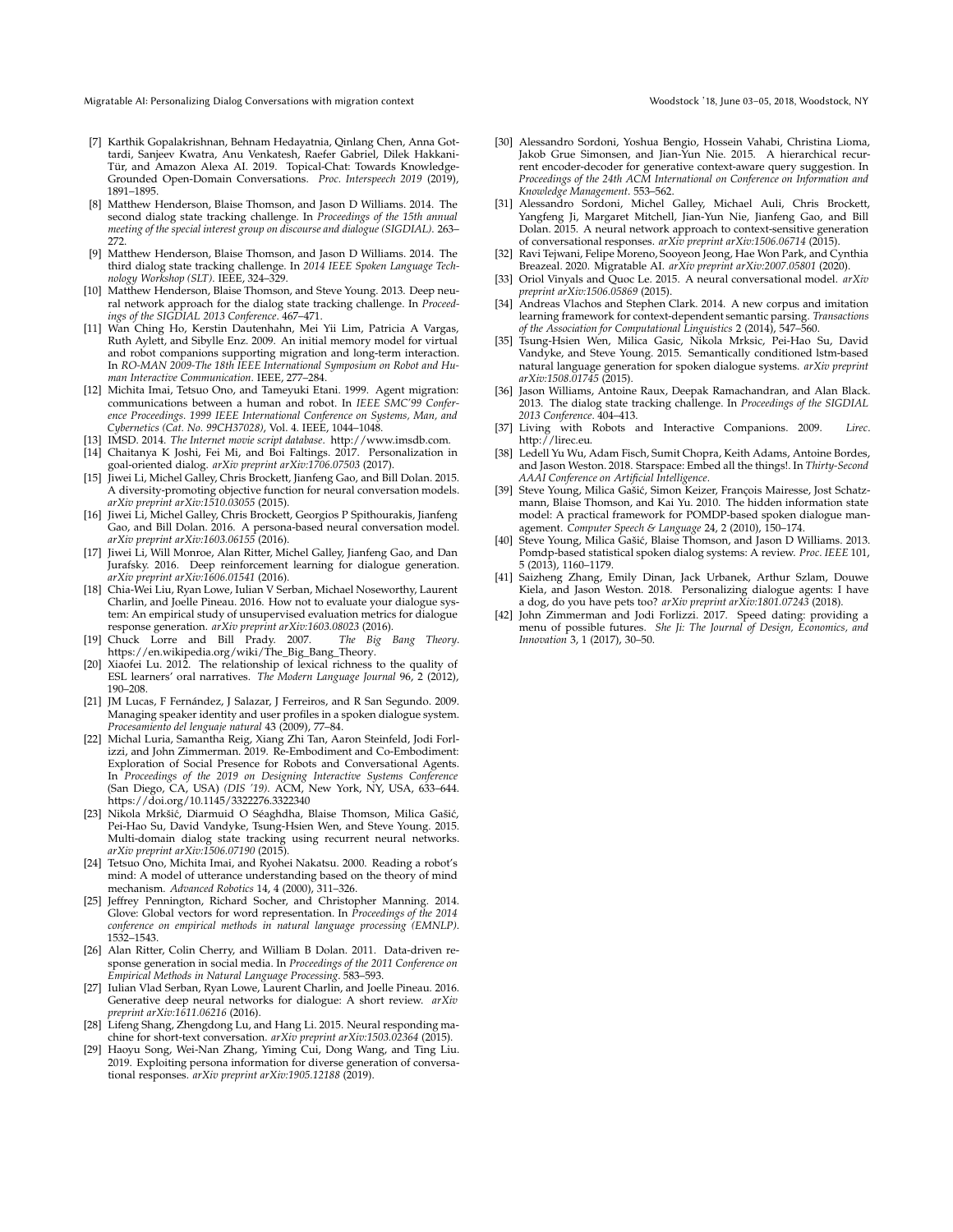<span id="page-6-0"></span>Migratable AI: Personalizing Dialog Conversations with migration context Woodstock '18, June 03-05, 2018, Woodstock, NY

- <span id="page-6-15"></span>[7] Karthik Gopalakrishnan, Behnam Hedayatnia, Qinlang Chen, Anna Gottardi, Sanjeev Kwatra, Anu Venkatesh, Raefer Gabriel, Dilek Hakkani-Tür, and Amazon Alexa AI. 2019. Topical-Chat: Towards Knowledge-Grounded Open-Domain Conversations. *Proc. Interspeech 2019* (2019), 1891–1895.
- <span id="page-6-17"></span>[8] Matthew Henderson, Blaise Thomson, and Jason D Williams. 2014. The second dialog state tracking challenge. In *Proceedings of the 15th annual meeting of the special interest group on discourse and dialogue (SIGDIAL)*. 263– 272.
- <span id="page-6-18"></span>[9] Matthew Henderson, Blaise Thomson, and Jason D Williams. 2014. The third dialog state tracking challenge. In *2014 IEEE Spoken Language Technology Workshop (SLT)*. IEEE, 324–329.
- <span id="page-6-22"></span>[10] Matthew Henderson, Blaise Thomson, and Steve Young. 2013. Deep neural network approach for the dialog state tracking challenge. In *Proceedings of the SIGDIAL 2013 Conference*. 467–471.
- <span id="page-6-29"></span>[11] Wan Ching Ho, Kerstin Dautenhahn, Mei Yii Lim, Patricia A Vargas, Ruth Aylett, and Sibylle Enz. 2009. An initial memory model for virtual and robot companions supporting migration and long-term interaction. In *RO-MAN 2009-The 18th IEEE International Symposium on Robot and Human Interactive Communication*. IEEE, 277–284.
- <span id="page-6-12"></span>[12] Michita Imai, Tetsuo Ono, and Tameyuki Etani. 1999. Agent migration: communications between a human and robot. In *IEEE SMC'99 Conference Proceedings. 1999 IEEE International Conference on Systems, Man, and Cybernetics (Cat. No. 99CH37028)*, Vol. 4. IEEE, 1044–1048.
- <span id="page-6-27"></span><span id="page-6-11"></span>[13] IMSD. 2014. *The Internet movie script database*. [http://www.imsdb.com.](http://www.imsdb.com) [14] Chaitanya K Joshi, Fei Mi, and Boi Faltings. 2017. Personalization in goal-oriented dialog. *arXiv preprint arXiv:1706.07503* (2017).
- <span id="page-6-3"></span>[15] Jiwei Li, Michel Galley, Chris Brockett, Jianfeng Gao, and Bill Dolan. 2015. A diversity-promoting objective function for neural conversation models. *arXiv preprint arXiv:1510.03055* (2015).
- <span id="page-6-7"></span>[16] Jiwei Li, Michel Galley, Chris Brockett, Georgios P Spithourakis, Jianfeng Gao, and Bill Dolan. 2016. A persona-based neural conversation model. *arXiv preprint arXiv:1603.06155* (2016).
- <span id="page-6-5"></span>[17] Jiwei Li, Will Monroe, Alan Ritter, Michel Galley, Jianfeng Gao, and Dan Jurafsky. 2016. Deep reinforcement learning for dialogue generation. *arXiv preprint arXiv:1606.01541* (2016).
- <span id="page-6-36"></span>[18] Chia-Wei Liu, Ryan Lowe, Iulian V Serban, Michael Noseworthy, Laurent Charlin, and Joelle Pineau. 2016. How not to evaluate your dialogue system: An empirical study of unsupervised evaluation metrics for dialogue response generation. *arXiv preprint arXiv:1603.08023* (2016).
- <span id="page-6-10"></span>[19] Chuck Lorre and Bill Prady. 2007. *The Big Bang Theory*. [https://en.wikipedia.org/wiki/The\\_Big\\_Bang\\_Theory.](https://en.wikipedia.org/wiki/The_ Big_Bang_Theory)
- <span id="page-6-33"></span>[20] Xiaofei Lu. 2012. The relationship of lexical richness to the quality of ESL learners' oral narratives. *The Modern Language Journal* 96, 2 (2012), 190–208.
- <span id="page-6-28"></span>[21] JM Lucas, F Fernández, J Salazar, J Ferreiros, and R San Segundo. 2009. Managing speaker identity and user profiles in a spoken dialogue system. *Procesamiento del lenguaje natural* 43 (2009), 77–84.
- <span id="page-6-31"></span>[22] Michal Luria, Samantha Reig, Xiang Zhi Tan, Aaron Steinfeld, Jodi Forlizzi, and John Zimmerman. 2019. Re-Embodiment and Co-Embodiment: Exploration of Social Presence for Robots and Conversational Agents. In *Proceedings of the 2019 on Designing Interactive Systems Conference* (San Diego, CA, USA) *(DIS '19)*. ACM, New York, NY, USA, 633–644. <https://doi.org/10.1145/3322276.3322340>
- <span id="page-6-23"></span>[23] Nikola Mrkšić, Diarmuid O Séaghdha, Blaise Thomson, Milica Gašić, Pei-Hao Su, David Vandyke, Tsung-Hsien Wen, and Steve Young. 2015. Multi-domain dialog state tracking using recurrent neural networks. *arXiv preprint arXiv:1506.07190* (2015).
- <span id="page-6-30"></span>[24] Tetsuo Ono, Michita Imai, and Ryohei Nakatsu. 2000. Reading a robot's mind: A model of utterance understanding based on the theory of mind mechanism. *Advanced Robotics* 14, 4 (2000), 311–326.
- <span id="page-6-34"></span>[25] Jeffrey Pennington, Richard Socher, and Christopher Manning. 2014. Glove: Global vectors for word representation. In *Proceedings of the 2014 conference on empirical methods in natural language processing (EMNLP)*. 1532–1543.
- <span id="page-6-24"></span>[26] Alan Ritter, Colin Cherry, and William B Dolan. 2011. Data-driven response generation in social media. In *Proceedings of the 2011 Conference on Empirical Methods in Natural Language Processing*. 583–593.
- <span id="page-6-4"></span>[27] Iulian Vlad Serban, Ryan Lowe, Laurent Charlin, and Joelle Pineau. 2016. Generative deep neural networks for dialogue: A short review. *arXiv preprint arXiv:1611.06216* (2016).
- <span id="page-6-25"></span>[28] Lifeng Shang, Zhengdong Lu, and Hang Li. 2015. Neural responding machine for short-text conversation. *arXiv preprint arXiv:1503.02364* (2015).
- <span id="page-6-9"></span>[29] Haoyu Song, Wei-Nan Zhang, Yiming Cui, Dong Wang, and Ting Liu. 2019. Exploiting persona information for diverse generation of conversational responses. arXiv preprint arXiv:1905.12188 (2019).
- <span id="page-6-26"></span>[30] Alessandro Sordoni, Yoshua Bengio, Hossein Vahabi, Christina Lioma, Jakob Grue Simonsen, and Jian-Yun Nie. 2015. A hierarchical recurrent encoder-decoder for generative context-aware query suggestion. In *Proceedings of the 24th ACM International on Conference on Information and Knowledge Management*. 553–562.
- <span id="page-6-1"></span>[31] Alessandro Sordoni, Michel Galley, Michael Auli, Chris Brockett, Yangfeng Ji, Margaret Mitchell, Jian-Yun Nie, Jianfeng Gao, and Bill Dolan. 2015. A neural network approach to context-sensitive generation of conversational responses. *arXiv preprint arXiv:1506.06714* (2015).
- <span id="page-6-14"></span>[32] Ravi Tejwani, Felipe Moreno, Sooyeon Jeong, Hae Won Park, and Cynthia Breazeal. 2020. Migratable AI. *arXiv preprint arXiv:2007.05801* (2020).
- <span id="page-6-6"></span>[33] Oriol Vinyals and Quoc Le. 2015. A neural conversational model. *arXiv preprint arXiv:1506.05869* (2015).
- <span id="page-6-19"></span>[34] Andreas Vlachos and Stephen Clark. 2014. A new corpus and imitation learning framework for context-dependent semantic parsing. *Transactions of the Association for Computational Linguistics* 2 (2014), 547–560.
- <span id="page-6-2"></span>[35] Tsung-Hsien Wen, Milica Gasic, Nikola Mrksic, Pei-Hao Su, David Vandyke, and Steve Young. 2015. Semantically conditioned lstm-based natural language generation for spoken dialogue systems. *arXiv preprint arXiv:1508.01745* (2015).
- <span id="page-6-16"></span>[36] Jason Williams, Antoine Raux, Deepak Ramachandran, and Alan Black. 2013. The dialog state tracking challenge. In *Proceedings of the SIGDIAL 2013 Conference*. 404–413.
- <span id="page-6-13"></span>[37] Living with Robots and Interactive Companions. 2009. *Lirec*. [http://lirec.eu.](http://lirec.eu)
- <span id="page-6-35"></span>[38] Ledell Yu Wu, Adam Fisch, Sumit Chopra, Keith Adams, Antoine Bordes, and Jason Weston. 2018. Starspace: Embed all the things!. In *Thirty-Second AAAI Conference on Artificial Intelligence*.
- <span id="page-6-21"></span>[39] Steve Young, Milica Gašić, Simon Keizer, François Mairesse, Jost Schatzmann, Blaise Thomson, and Kai Yu. 2010. The hidden information state model: A practical framework for POMDP-based spoken dialogue management. *Computer Speech & Language* 24, 2 (2010), 150–174.
- <span id="page-6-20"></span>[40] Steve Young, Milica Gašić, Blaise Thomson, and Jason D Williams. 2013. Pomdp-based statistical spoken dialog systems: A review. *Proc. IEEE* 101, 5 (2013), 1160–1179.
- <span id="page-6-8"></span>[41] Saizheng Zhang, Emily Dinan, Jack Urbanek, Arthur Szlam, Douwe Kiela, and Jason Weston. 2018. Personalizing dialogue agents: I have a dog, do you have pets too? *arXiv preprint arXiv:1801.07243* (2018).
- <span id="page-6-32"></span>[42] John Zimmerman and Jodi Forlizzi. 2017. Speed dating: providing a menu of possible futures. *She Ji: The Journal of Design, Economics, and Innovation* 3, 1 (2017), 30–50.